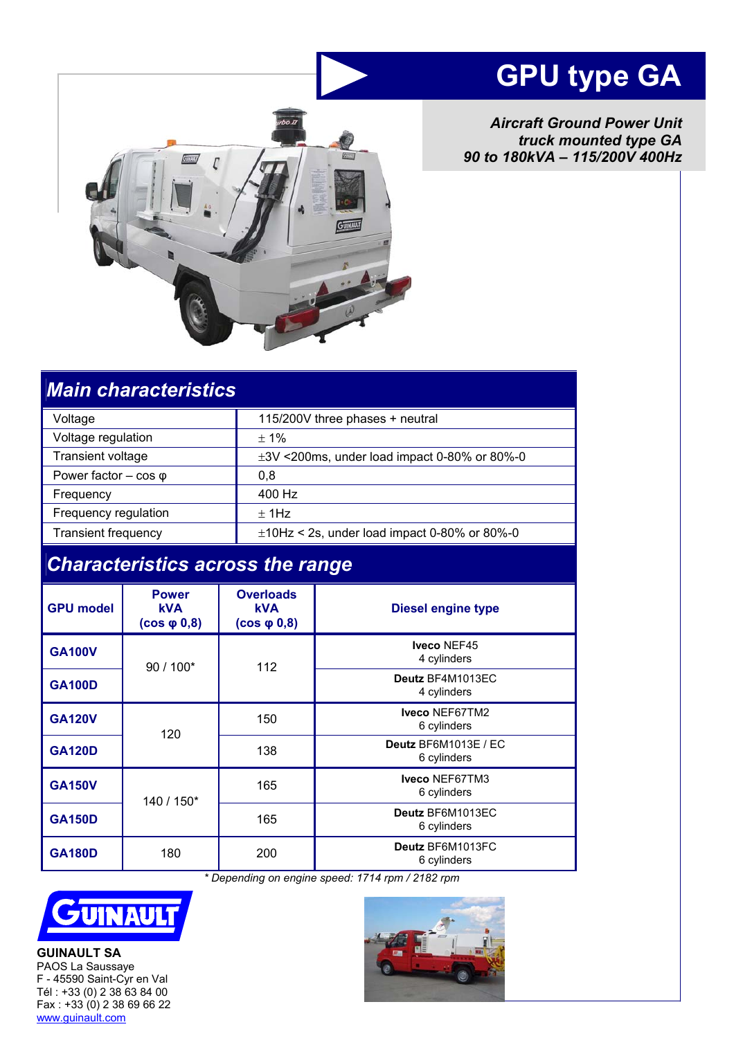# **GPU type GA**

*Aircraft Ground Power Unit truck mounted type GA 90 to 180kVA – 115/200V 400Hz* 



# *Main characteristics*

| Voltage                        | 115/200V three phases + neutral                   |  |
|--------------------------------|---------------------------------------------------|--|
| Voltage regulation             | $± 1\%$                                           |  |
| Transient voltage              | $\pm 3V$ <200ms, under load impact 0-80% or 80%-0 |  |
| Power factor $-$ cos $\varphi$ | 0,8                                               |  |
| Frequency                      | 400 Hz                                            |  |
| Frequency regulation           | $±$ 1Hz                                           |  |
| <b>Transient frequency</b>     | $\pm$ 10Hz < 2s, under load impact 0-80% or 80%-0 |  |

# *Characteristics across the range*

| <b>GPU model</b> | <b>Power</b><br><b>kVA</b><br>$(cos \phi 0, 8)$ | <b>Overloads</b><br><b>kVA</b><br>$(cos \phi 0, 8)$ | <b>Diesel engine type</b>           |
|------------------|-------------------------------------------------|-----------------------------------------------------|-------------------------------------|
| <b>GA100V</b>    | $90/100*$                                       | 112                                                 | Iveco NEF45<br>4 cylinders          |
| <b>GA100D</b>    |                                                 |                                                     | Deutz BF4M1013EC<br>4 cylinders     |
| <b>GA120V</b>    | 120                                             | 150                                                 | Iveco NEF67TM2<br>6 cylinders       |
| <b>GA120D</b>    |                                                 | 138                                                 | Deutz BF6M1013E / EC<br>6 cylinders |
| <b>GA150V</b>    | 140 / 150*                                      | 165                                                 | Iveco NEF67TM3<br>6 cylinders       |
| <b>GA150D</b>    |                                                 | 165                                                 | Deutz BF6M1013EC<br>6 cylinders     |
| <b>GA180D</b>    | 180                                             | 200                                                 | Deutz BF6M1013FC<br>6 cylinders     |

 *\* Depending on engine speed: 1714 rpm / 2182 rpm*



**GUINAULT SA**  PAOS La Saussaye F - 45590 Saint-Cyr en Val Tél : +33 (0) 2 38 63 84 00 Fax : +33 (0) 2 38 69 66 22 www.guinault.com